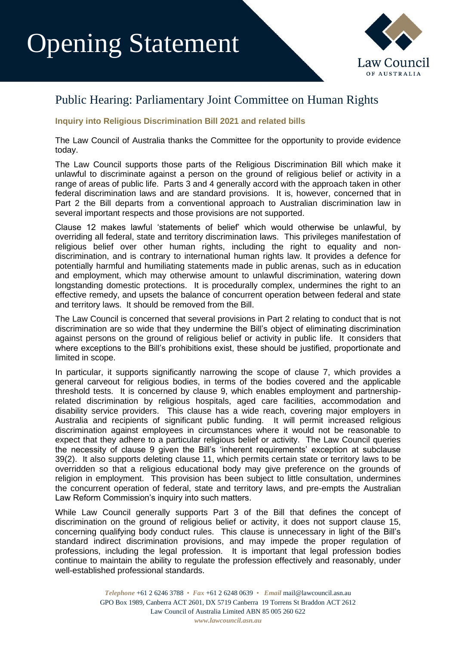## Opening Statement



## Public Hearing: Parliamentary Joint Committee on Human Rights

## **Inquiry into Religious Discrimination Bill 2021 and related bills**

The Law Council of Australia thanks the Committee for the opportunity to provide evidence today.

The Law Council supports those parts of the Religious Discrimination Bill which make it unlawful to discriminate against a person on the ground of religious belief or activity in a range of areas of public life. Parts 3 and 4 generally accord with the approach taken in other federal discrimination laws and are standard provisions. It is, however, concerned that in Part 2 the Bill departs from a conventional approach to Australian discrimination law in several important respects and those provisions are not supported.

Clause 12 makes lawful 'statements of belief' which would otherwise be unlawful, by overriding all federal, state and territory discrimination laws. This privileges manifestation of religious belief over other human rights, including the right to equality and nondiscrimination, and is contrary to international human rights law. It provides a defence for potentially harmful and humiliating statements made in public arenas, such as in education and employment, which may otherwise amount to unlawful discrimination, watering down longstanding domestic protections. It is procedurally complex, undermines the right to an effective remedy, and upsets the balance of concurrent operation between federal and state and territory laws. It should be removed from the Bill.

The Law Council is concerned that several provisions in Part 2 relating to conduct that is not discrimination are so wide that they undermine the Bill's object of eliminating discrimination against persons on the ground of religious belief or activity in public life. It considers that where exceptions to the Bill's prohibitions exist, these should be justified, proportionate and limited in scope.

In particular, it supports significantly narrowing the scope of clause 7, which provides a general carveout for religious bodies, in terms of the bodies covered and the applicable threshold tests. It is concerned by clause 9, which enables employment and partnershiprelated discrimination by religious hospitals, aged care facilities, accommodation and disability service providers. This clause has a wide reach, covering major employers in Australia and recipients of significant public funding. It will permit increased religious discrimination against employees in circumstances where it would not be reasonable to expect that they adhere to a particular religious belief or activity. The Law Council queries the necessity of clause 9 given the Bill's 'inherent requirements' exception at subclause 39(2). It also supports deleting clause 11, which permits certain state or territory laws to be overridden so that a religious educational body may give preference on the grounds of religion in employment. This provision has been subject to little consultation, undermines the concurrent operation of federal, state and territory laws, and pre-empts the Australian Law Reform Commission's inquiry into such matters.

While Law Council generally supports Part 3 of the Bill that defines the concept of discrimination on the ground of religious belief or activity, it does not support clause 15, concerning qualifying body conduct rules. This clause is unnecessary in light of the Bill's standard indirect discrimination provisions, and may impede the proper regulation of professions, including the legal profession. It is important that legal profession bodies continue to maintain the ability to regulate the profession effectively and reasonably, under well-established professional standards.